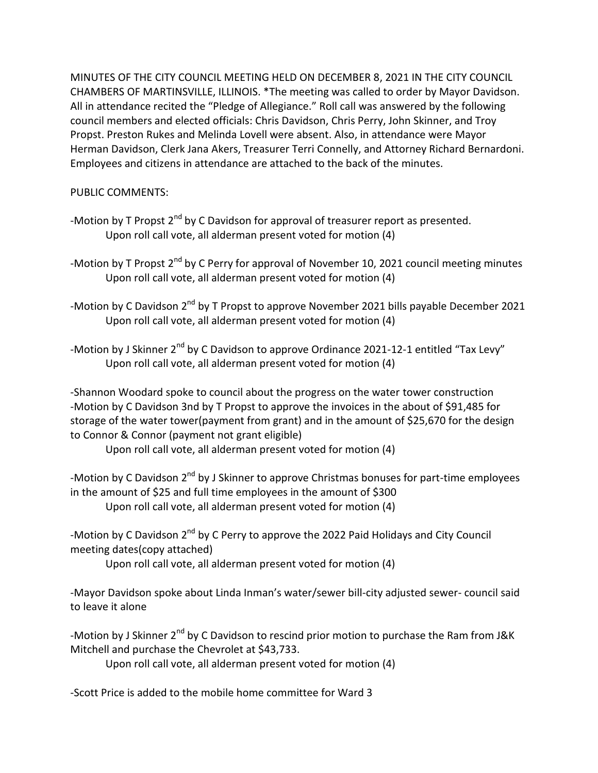MINUTES OF THE CITY COUNCIL MEETING HELD ON DECEMBER 8, 2021 IN THE CITY COUNCIL CHAMBERS OF MARTINSVILLE, ILLINOIS. \*The meeting was called to order by Mayor Davidson. All in attendance recited the "Pledge of Allegiance." Roll call was answered by the following council members and elected officials: Chris Davidson, Chris Perry, John Skinner, and Troy Propst. Preston Rukes and Melinda Lovell were absent. Also, in attendance were Mayor Herman Davidson, Clerk Jana Akers, Treasurer Terri Connelly, and Attorney Richard Bernardoni. Employees and citizens in attendance are attached to the back of the minutes.

PUBLIC COMMENTS:

- -Motion by T Propst  $2^{nd}$  by C Davidson for approval of treasurer report as presented. Upon roll call vote, all alderman present voted for motion (4)
- -Motion by T Propst  $2^{nd}$  by C Perry for approval of November 10, 2021 council meeting minutes Upon roll call vote, all alderman present voted for motion (4)
- -Motion by C Davidson  $2^{nd}$  by T Propst to approve November 2021 bills payable December 2021 Upon roll call vote, all alderman present voted for motion (4)
- -Motion by J Skinner 2<sup>nd</sup> by C Davidson to approve Ordinance 2021-12-1 entitled "Tax Levy" Upon roll call vote, all alderman present voted for motion (4)

-Shannon Woodard spoke to council about the progress on the water tower construction -Motion by C Davidson 3nd by T Propst to approve the invoices in the about of \$91,485 for storage of the water tower(payment from grant) and in the amount of \$25,670 for the design to Connor & Connor (payment not grant eligible)

Upon roll call vote, all alderman present voted for motion (4)

-Motion by C Davidson  $2^{nd}$  by J Skinner to approve Christmas bonuses for part-time employees in the amount of \$25 and full time employees in the amount of \$300 Upon roll call vote, all alderman present voted for motion (4)

-Motion by C Davidson  $2^{nd}$  by C Perry to approve the 2022 Paid Holidays and City Council meeting dates(copy attached)

Upon roll call vote, all alderman present voted for motion (4)

-Mayor Davidson spoke about Linda Inman's water/sewer bill-city adjusted sewer- council said to leave it alone

-Motion by J Skinner  $2^{nd}$  by C Davidson to rescind prior motion to purchase the Ram from J&K Mitchell and purchase the Chevrolet at \$43,733.

Upon roll call vote, all alderman present voted for motion (4)

-Scott Price is added to the mobile home committee for Ward 3